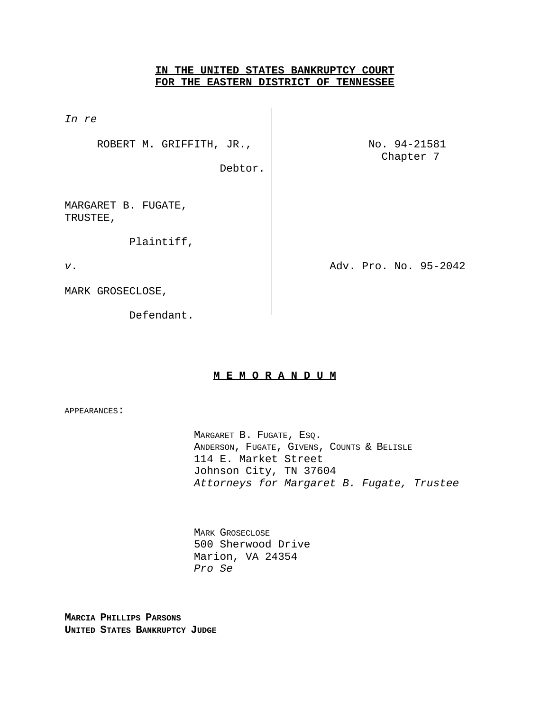## **IN THE UNITED STATES BANKRUPTCY COURT FOR THE EASTERN DISTRICT OF TENNESSEE**

Debtor.

*In re* 

ROBERT M. GRIFFITH, JR.,  $\vert$  No. 94-21581

Chapter 7

MARGARET B. FUGATE, TRUSTEE,

Plaintiff,

*v*. Adv. Pro. No. 95-2042

MARK GROSECLOSE,

Defendant.

## **M E M O R A N D U M**

APPEARANCES:

MARGARET B. FUGATE, ESQ. ANDERSON, FUGATE, GIVENS, COUNTS & BELISLE 114 E. Market Street Johnson City, TN 37604 *Attorneys for Margaret B. Fugate, Trustee*

MARK GROSECLOSE 500 Sherwood Drive Marion, VA 24354 *Pro Se*

**MARCIA PHILLIPS PARSONS UNITED STATES BANKRUPTCY JUDGE**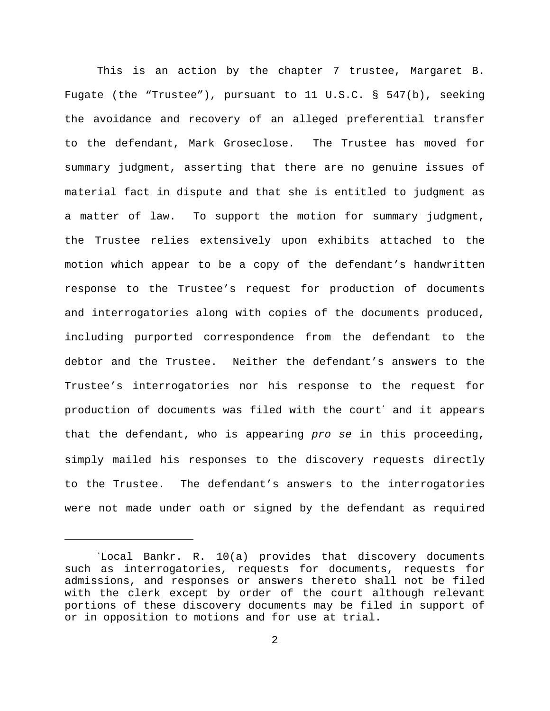This is an action by the chapter 7 trustee, Margaret B. Fugate (the "Trustee"), pursuant to 11 U.S.C. § 547(b), seeking the avoidance and recovery of an alleged preferential transfer to the defendant, Mark Groseclose. The Trustee has moved for summary judgment, asserting that there are no genuine issues of material fact in dispute and that she is entitled to judgment as a matter of law. To support the motion for summary judgment, the Trustee relies extensively upon exhibits attached to the motion which appear to be a copy of the defendant's handwritten response to the Trustee's request for production of documents and interrogatories along with copies of the documents produced, including purported correspondence from the defendant to the debtor and the Trustee. Neither the defendant's answers to the Trustee's interrogatories nor his response to the request for production of documents was filed with the court' and it appears that the defendant, who is appearing *pro se* in this proceeding, simply mailed his responses to the discovery requests directly to the Trustee. The defendant's answers to the interrogatories were not made under oath or signed by the defendant as required

Local Bankr. R. 10(a) provides that discovery documents \* such as interrogatories, requests for documents, requests for admissions, and responses or answers thereto shall not be filed with the clerk except by order of the court although relevant portions of these discovery documents may be filed in support of or in opposition to motions and for use at trial.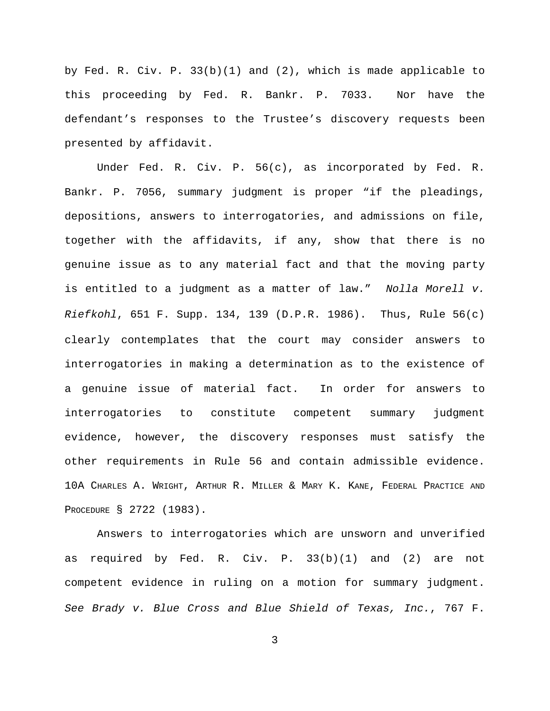by Fed. R. Civ. P. 33(b)(1) and (2), which is made applicable to this proceeding by Fed. R. Bankr. P. 7033. Nor have the defendant's responses to the Trustee's discovery requests been presented by affidavit.

Under Fed. R. Civ. P. 56(c), as incorporated by Fed. R. Bankr. P. 7056, summary judgment is proper "if the pleadings, depositions, answers to interrogatories, and admissions on file, together with the affidavits, if any, show that there is no genuine issue as to any material fact and that the moving party is entitled to a judgment as a matter of law." *Nolla Morell v. Riefkohl*, 651 F. Supp. 134, 139 (D.P.R. 1986). Thus, Rule 56(c) clearly contemplates that the court may consider answers to interrogatories in making a determination as to the existence of a genuine issue of material fact. In order for answers to interrogatories to constitute competent summary judgment evidence, however, the discovery responses must satisfy the other requirements in Rule 56 and contain admissible evidence. 10A CHARLES A. WRIGHT, ARTHUR R. MILLER & MARY K. KANE, FEDERAL PRACTICE AND PROCEDURE § 2722 (1983).

Answers to interrogatories which are unsworn and unverified as required by Fed. R. Civ. P. 33(b)(1) and (2) are not competent evidence in ruling on a motion for summary judgment. *See Brady v. Blue Cross and Blue Shield of Texas, Inc.*, 767 F.

3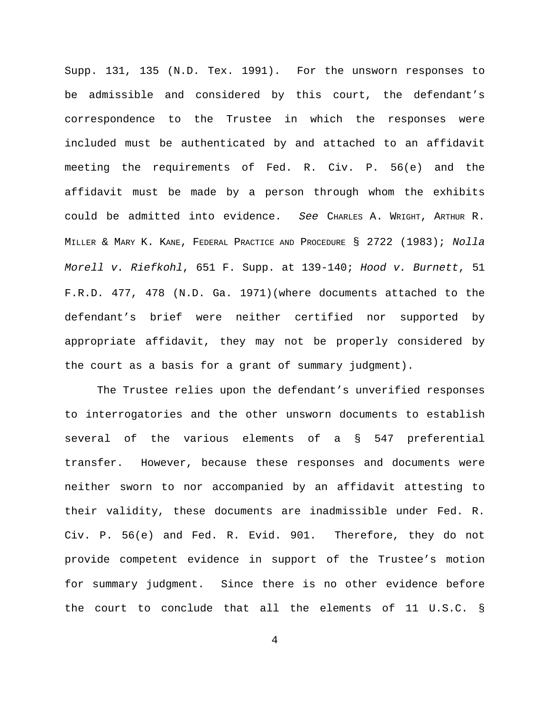Supp. 131, 135 (N.D. Tex. 1991). For the unsworn responses to be admissible and considered by this court, the defendant's correspondence to the Trustee in which the responses were included must be authenticated by and attached to an affidavit meeting the requirements of Fed. R. Civ. P. 56(e) and the affidavit must be made by a person through whom the exhibits could be admitted into evidence. *See* CHARLES A. WRIGHT, ARTHUR R. MILLER & MARY K. KANE, FEDERAL PRACTICE AND PROCEDURE § 2722 (1983); *Nolla Morell v. Riefkohl*, 651 F. Supp. at 139-140; *Hood v. Burnett*, 51 F.R.D. 477, 478 (N.D. Ga. 1971)(where documents attached to the defendant's brief were neither certified nor supported by appropriate affidavit, they may not be properly considered by the court as a basis for a grant of summary judgment).

The Trustee relies upon the defendant's unverified responses to interrogatories and the other unsworn documents to establish several of the various elements of a § 547 preferential transfer. However, because these responses and documents were neither sworn to nor accompanied by an affidavit attesting to their validity, these documents are inadmissible under Fed. R. Civ. P. 56(e) and Fed. R. Evid. 901. Therefore, they do not provide competent evidence in support of the Trustee's motion for summary judgment. Since there is no other evidence before the court to conclude that all the elements of 11 U.S.C. §

4